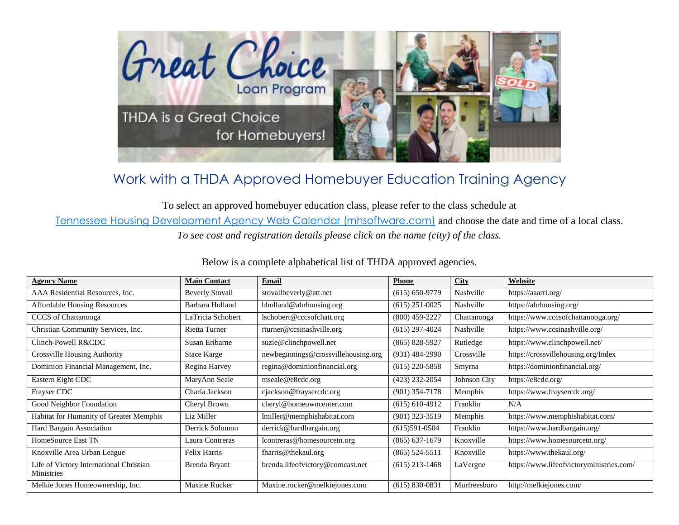

## Work with a THDA Approved Homebuyer Education Training Agency

To select an approved homebuyer education class, please refer to the class schedule at

[Tennessee Housing Development Agency Web Calendar \(mhsoftware.com\)](http://thda.mhsoftware.com/) and choose the date and time of a local class. *To see cost and registration details please click on the name (city) of the class.*

| <b>Agency Name</b>                                    | <b>Main Contact</b>    | Email                               | <b>Phone</b>       | City         | Website                                  |
|-------------------------------------------------------|------------------------|-------------------------------------|--------------------|--------------|------------------------------------------|
| AAA Residential Resources, Inc.                       | <b>Beverly Stovall</b> | stovallbeverly@att.net              | $(615) 650 - 9779$ | Nashville    | https://aaarri.org/                      |
| <b>Affordable Housing Resources</b>                   | Barbara Holland        | bholland@ahrhousing.org             | $(615)$ 251-0025   | Nashville    | https://ahrhousing.org/                  |
| CCCS of Chattanooga                                   | LaTricia Schobert      | lschobert@cccsofchatt.org           | $(800)$ 459-2227   | Chattanooga  | https://www.cccsofchattanooga.org/       |
| Christian Community Services, Inc.                    | Rietta Turner          | rturner@ccsinashville.org           | $(615)$ 297-4024   | Nashville    | https://www.ccsinashville.org/           |
| Clinch-Powell R&CDC                                   | Susan Eribarne         | suzie@clinchpowell.net              | $(865) 828 - 5927$ | Rutledge     | https://www.clinchpowell.net/            |
| Crossville Housing Authority                          | <b>Stace Karge</b>     | newbeginnings@crossvillehousing.org | $(931)$ 484-2990   | Crossville   | https://crossvillehousing.org/Index      |
| Dominion Financial Management, Inc.                   | Regina Harvey          | regina@dominionfinancial.org        | $(615)$ 220-5858   | Smyrna       | https://dominionfinancial.org/           |
| Eastern Eight CDC                                     | MaryAnn Seale          | mseale@e8cdc.org                    | $(423)$ 232-2054   | Johnson City | https://e8cdc.org/                       |
| Frayser CDC                                           | Charia Jackson         | cjackson@fraysercdc.org             | $(901)$ 354-7178   | Memphis      | https://www.fraysercdc.org/              |
| Good Neighbor Foundation                              | Cheryl Brown           | cheryl@homeowncenter.com            | $(615) 610-4912$   | Franklin     | N/A                                      |
| Habitat for Humanity of Greater Memphis               | Liz Miller             | lmiller@memphishabitat.com          | $(901)$ 323-3519   | Memphis      | https://www.memphishabitat.com/          |
| Hard Bargain Association                              | Derrick Solomon        | derrick@hardbargain.org             | $(615)591-0504$    | Franklin     | https://www.hardbargain.org/             |
| HomeSource East TN                                    | Laura Contreras        | lcontreras@homesourcetn.org         | $(865) 637-1679$   | Knoxville    | https://www.homesourcetn.org/            |
| Knoxville Area Urban League                           | Felix Harris           | fharris@thekaul.org                 | $(865)$ 524-5511   | Knoxville    | https://www.thekaul.org/                 |
| Life of Victory International Christian<br>Ministries | Brenda Bryant          | brenda.lifeofvictory@comcast.net    | $(615)$ 213-1468   | LaVergne     | https://www.lifeofvictoryministries.com/ |
| Melkie Jones Homeownership, Inc.                      | <b>Maxine Rucker</b>   | Maxine.rucker@melkiejones.com       | $(615) 830 - 0831$ | Murfreesboro | http://melkiejones.com/                  |

Below is a complete alphabetical list of THDA approved agencies.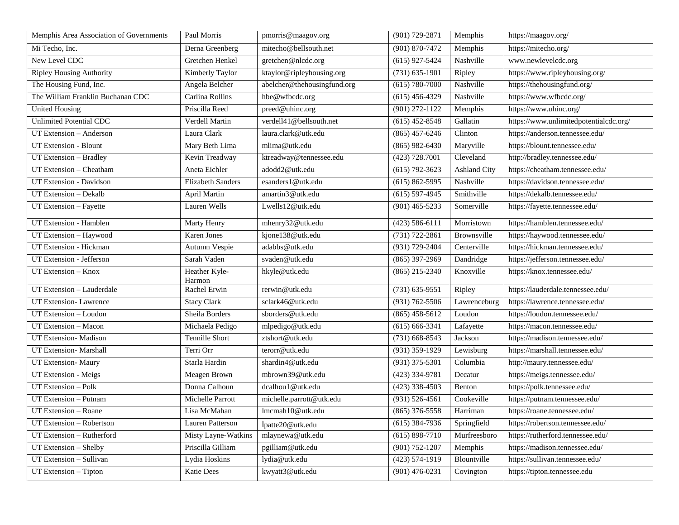| Memphis Area Association of Governments | Paul Morris              | pmorris@maagov.org          | $(901) 729 - 2871$ | Memphis             | https://maagov.org/                    |
|-----------------------------------------|--------------------------|-----------------------------|--------------------|---------------------|----------------------------------------|
| Mi Techo, Inc.                          | Derna Greenberg          | mitecho@bellsouth.net       | (901) 870-7472     | Memphis             | https://mitecho.org/                   |
| New Level CDC                           | Gretchen Henkel          | gretchen@nlcdc.org          | $(615)$ 927-5424   | Nashville           | www.newlevelcdc.org                    |
| <b>Ripley Housing Authority</b>         | Kimberly Taylor          | ktaylor@ripleyhousing.org   | $(731) 635 - 1901$ | Ripley              | https://www.ripleyhousing.org/         |
| The Housing Fund, Inc.                  | Angela Belcher           | abelcher@thehousingfund.org | $(615) 780 - 7000$ | Nashville           | https://thehousingfund.org/            |
| The William Franklin Buchanan CDC       | Carlina Rollins          | hbe@wfbcdc.org              | $(615)$ 456-4329   | Nashville           | https://www.wfbcdc.org/                |
| <b>United Housing</b>                   | Priscilla Reed           | preed@uhinc.org             | $(901) 272 - 1122$ | Memphis             | https://www.uhinc.org/                 |
| <b>Unlimited Potential CDC</b>          | Verdell Martin           | verdell41@bellsouth.net     | $(615)$ 452-8548   | Gallatin            | https://www.unlimitedpotentialcdc.org/ |
| UT Extension - Anderson                 | Laura Clark              | laura.clark@utk.edu         | $(865)$ 457-6246   | Clinton             | https://anderson.tennessee.edu/        |
| UT Extension - Blount                   | Mary Beth Lima           | mlima@utk.edu               | $(865)$ 982-6430   | Maryville           | https://blount.tennessee.edu/          |
| UT Extension - Bradley                  | Kevin Treadway           | ktreadway@tennessee.edu     | (423) 728.7001     | Cleveland           | http://bradley.tennessee.edu/          |
| UT Extension - Cheatham                 | Aneta Eichler            | adodd2@utk.edu              | $(615)$ 792-3623   | <b>Ashland City</b> | https://cheatham.tennessee.edu/        |
| UT Extension - Davidson                 | <b>Elizabeth Sanders</b> | esanders1@utk.edu           | $(615) 862 - 5995$ | Nashville           | https://davidson.tennessee.edu/        |
| UT Extension - Dekalb                   | April Martin             | amartin3@utk.edu            | $(615) 597 - 4945$ | Smithville          | https://dekalb.tennessee.edu/          |
| UT Extension - Fayette                  | Lauren Wells             | Lwells12@utk.edu            | $(901)$ 465-5233   | Somerville          | https://fayette.tennessee.edu/         |
| UT Extension - Hamblen                  | Marty Henry              | mhenry32@utk.edu            | $(423) 586 - 6111$ | Morristown          | https://hamblen.tennessee.edu/         |
| UT Extension - Haywood                  | Karen Jones              | kjone138@utk.edu            | $(731) 722 - 2861$ | Brownsville         | https://haywood.tennessee.edu/         |
| <b>UT Extension - Hickman</b>           | Autumn Vespie            | adabbs@utk.edu              | $(931) 729 - 2404$ | Centerville         | https://hickman.tennessee.edu/         |
| UT Extension - Jefferson                | Sarah Vaden              | svaden@utk.edu              | $(865)$ 397-2969   | Dandridge           | https://jefferson.tennessee.edu/       |
| UT Extension - Knox                     | Heather Kyle-<br>Harmon  | hkyle@utk.edu               | $(865)$ 215-2340   | Knoxville           | https://knox.tennessee.edu/            |
| UT Extension - Lauderdale               | Rachel Erwin             | rerwin@utk.edu              | $(731) 635 - 9551$ | Ripley              | https://lauderdale.tennessee.edu/      |
| UT Extension-Lawrence                   | <b>Stacy Clark</b>       | sclark46@utk.edu            | (931) 762-5506     | Lawrenceburg        | https://lawrence.tennessee.edu/        |
| UT Extension - Loudon                   | Sheila Borders           | sborders@utk.edu            | $(865)$ 458-5612   | Loudon              | https://loudon.tennessee.edu/          |
| UT Extension - Macon                    | Michaela Pedigo          | mlpedigo@utk.edu            | $(615) 666-3341$   | Lafayette           | https://macon.tennessee.edu/           |
| UT Extension-Madison                    | Tennille Short           | ztshort@utk.edu             | $(731)$ 668-8543   | Jackson             | https://madison.tennessee.edu/         |
| UT Extension- Marshall                  | Terri Orr                | terorr@utk.edu              | (931) 359-1929     | Lewisburg           | https://marshall.tennessee.edu/        |
| UT Extension-Maury                      | Starla Hardin            | shardin4@utk.edu            | $(931)$ 375-5301   | Columbia            | http://maury.tennessee.edu/            |
| UT Extension - Meigs                    | Meagen Brown             | mbrown39@utk.edu            | (423) 334-9781     | Decatur             | https://meigs.tennessee.edu/           |
| UT Extension - Polk                     | Donna Calhoun            | dcalhou1@utk.edu            | $(423)$ 338-4503   | Benton              | https://polk.tennessee.edu/            |
| UT Extension - Putnam                   | Michelle Parrott         | michelle.parrott@utk.edu    | $(931) 526 - 4561$ | Cookeville          | https://putnam.tennessee.edu/          |
| UT Extension - Roane                    | Lisa McMahan             | lmcmah10@utk.edu            | $(865)$ 376-5558   | Harriman            | https://roane.tennessee.edu/           |
| UT Extension - Robertson                | <b>Lauren Patterson</b>  | lpatte20@utk.edu            | $(615)$ 384-7936   | Springfield         | https://robertson.tennessee.edu/       |
| UT Extension - Rutherford               | Misty Layne-Watkins      | mlaynewa@utk.edu            | $(615) 898 - 7710$ | Murfreesboro        | https://rutherford.tennessee.edu/      |
| UT Extension - Shelby                   | Priscilla Gilliam        | pgilliam@utk.edu            | $(901) 752 - 1207$ | Memphis             | https://madison.tennessee.edu/         |
| UT Extension - Sullivan                 | Lydia Hoskins            | lydia@utk.edu               | $(423) 574 - 1919$ | Blountville         | https://sullivan.tennessee.edu/        |
| UT Extension - Tipton                   | Katie Dees               | kwyatt3@utk.edu             | $(901)$ 476-0231   | Covington           | https://tipton.tennessee.edu           |